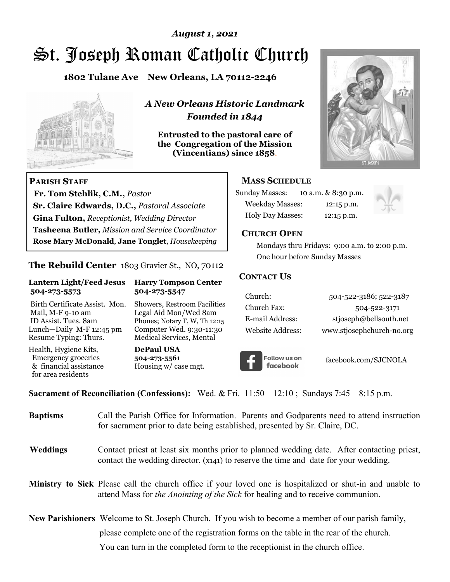### *August 1, 2021*

# St. Joseph Roman Catholic Church

**1802 Tulane Ave New Orleans, LA 70112-2246**



 **Fr. Tom Stehlik, C.M.,** *Pastor* 

**Sr. Claire Edwards, D.C.,** *Pastoral Associate* **Gina Fulton,** *Receptionist, Wedding Director* 

**Tasheena Butler,** *Mission and Service Coordinator* **Rose Mary McDonald**, **Jane Tonglet**, *Housekeeping*

**The Rebuild Center** 1803 Gravier St., NO, 70112

**Lantern Light/Feed Jesus Harry Tompson Center** 

Birth Certificate Assist. Mon. Showers, Restroom Facilities Mail, M-F 9-10 am Legal Aid Mon/Wed 8am ID Assist. Tues. 8am Phones; Notary T, W, Th 12:15 Lunch—Daily M-F 12:45 pm Computer Wed. 9:30-11:30 Resume Typing: Thurs. Medical Services, Mental

 **504-273-5573 504-273-5547** 

Health, Hygiene Kits, **DePaul USA**  Emergency groceries **504-273-5561**

& financial assistance Housing w/ case mgt.

**PARISH STAFF**

for area residents

*A New Orleans Historic Landmark Founded in 1844* 

**Entrusted to the pastoral care of the Congregation of the Mission (Vincentians) since 1858**.



#### **MASS SCHEDULE**

| <b>Sunday Masses:</b>  | 10 a.m. & 8:30 p.m. |
|------------------------|---------------------|
| <b>Weekday Masses:</b> | $12:15$ p.m.        |
| Holy Day Masses:       | 12:15 p.m.          |



#### **CHURCH OPEN**

 Mondays thru Fridays: 9:00 a.m. to 2:00 p.m. One hour before Sunday Masses

#### **CONTACT US**

| Church:          | 504-522-3186; 522-3187    |
|------------------|---------------------------|
| Church Fax:      | 504-522-3171              |
| E-mail Address:  | stjoseph@bellsouth.net    |
| Website Address: | www.stjosephchurch-no.org |



facebook.com/SJCNOLA

**Sacrament of Reconciliation (Confessions):** Wed. & Fri. 11:50—12:10 ; Sundays 7:45—8:15 p.m.

| <b>Baptisms</b> | Call the Parish Office for Information. Parents and Godparents need to attend instruction<br>for sacrament prior to date being established, presented by Sr. Claire, DC.                            |
|-----------------|-----------------------------------------------------------------------------------------------------------------------------------------------------------------------------------------------------|
| <b>Weddings</b> | Contact priest at least six months prior to planned wedding date. After contacting priest,<br>contact the wedding director, (x141) to reserve the time and date for your wedding.                   |
|                 | Ministry to Sick Please call the church office if your loved one is hospitalized or shut-in and unable to<br>attend Mass for <i>the Anointing of the Sick</i> for healing and to receive communion. |
|                 | <b>New Parishioners</b> Welcome to St. Joseph Church. If you wish to become a member of our parish family,                                                                                          |
|                 | please complete one of the registration forms on the table in the rear of the church.                                                                                                               |
|                 | You can turn in the completed form to the receptionist in the church office.                                                                                                                        |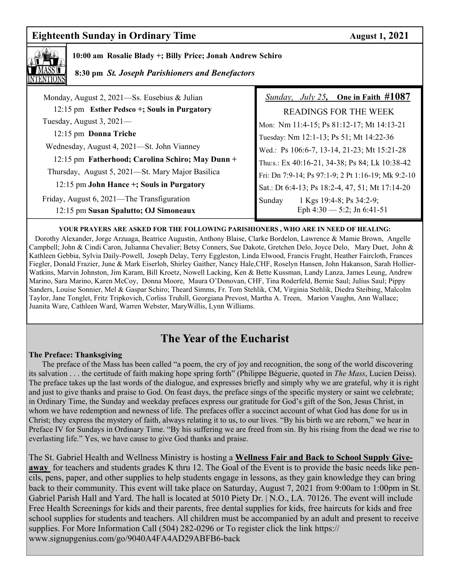# **Eighteenth Sunday in Ordinary Time August 1, 2021**



#### **10:00 am Rosalie Blady +; Billy Price; Jonah Andrew Schiro**

 **8:30 pm** *St. Joseph Parishioners and Benefactors*

| Monday, August 2, 2021—Ss. Eusebius & Julian     | <i>Sunday, July 25,</i> One in Faith $\#1087$      |
|--------------------------------------------------|----------------------------------------------------|
| 12:15 pm Esther Pedsco +; Souls in Purgatory     | READINGS FOR THE WEEK                              |
| Tuesday, August $3,2021$ —                       | Mon: Nm 11:4-15; Ps 81:12-17; Mt 14:13-21          |
| 12:15 pm Donna Triche                            | Tuesday: Nm 12:1-13; Ps 51; Mt 14:22-36            |
| Wednesday, August 4, 2021—St. John Vianney       | Wed.: Ps 106:6-7, 13-14, 21-23; Mt 15:21-28        |
| 12:15 pm Fatherhood; Carolina Schiro; May Dunn + | Thu:s.: Ex 40:16-21, 34-38; Ps 84; Lk 10:38-42     |
| Thursday, August 5, 2021—St. Mary Major Basilica | Fri: Dn 7:9-14; Ps 97:1-9; 2 Pt 1:16-19; Mk 9:2-10 |
| 12:15 pm John Hance +; Souls in Purgatory        | Sat.: Dt 6:4-13; Ps 18:2-4, 47, 51; Mt 17:14-20    |
| Friday, August 6, 2021—The Transfiguration       | 1 Kgs 19:4-8; Ps 34:2-9;<br>Sunday                 |
| 12:15 pm Susan Spalutto; OJ Simoneaux            | Eph $4:30 - 5:2$ ; Jn 6:41-51                      |

#### **YOUR PRAYERS ARE ASKED FOR THE FOLLOWING PARISHIONERS , WHO ARE IN NEED OF HEALING:**

 Dorothy Alexander, Jorge Arzuaga, Beatrice Augustin, Anthony Blaise, Clarke Bordelon, Lawrence & Mamie Brown, Angelle Campbell; John & Cindi Caron, Julianna Chevalier; Betsy Conners, Sue Dakote, Gretchen Delo, Joyce Delo, Mary Duet, John & Kathleen Gebbia, Sylvia Daily-Powell, Joseph Delay, Terry Eggleston, Linda Elwood, Francis Frught, Heather Faircloth, Frances Fiegler, Donald Frazier, June & Mark Eiserloh, Shirley Gaither, Nancy Hale,CHF, Roselyn Hansen, John Hakanson, Sarah Hollier-Watkins, Marvin Johnston, Jim Karam, Bill Kroetz, Nowell Lacking, Ken & Bette Kussman, Landy Lanza, James Leung, Andrew Marino, Sara Marino, Karen McCoy, Donna Moore, Maura O'Donovan, CHF, Tina Roderfeld, Bernie Saul; Julius Saul; Pippy Sanders, Louise Sonnier, Mel & Gaspar Schiro; Theard Simms, Fr. Tom Stehlik, CM, Virginia Stehlik, Diedra Steibing, Malcolm Taylor, Jane Tonglet, Fritz Tripkovich, Corliss Truhill, Georgiana Prevost, Martha A. Treen, Marion Vaughn, Ann Wallace; Juanita Ware, Cathleen Ward, Warren Webster, MaryWillis, Lynn Williams.

# **The Year of the Eucharist**

#### **The Preface: Thanksgiving**

The preface of the Mass has been called "a poem, the cry of joy and recognition, the song of the world discovering its salvation . . . the certitude of faith making hope spring forth" (Philippe Béguerie, quoted in *The Mass*, Lucien Deiss). The preface takes up the last words of the dialogue, and expresses briefly and simply why we are grateful, why it is right and just to give thanks and praise to God. On feast days, the preface sings of the specific mystery or saint we celebrate; in Ordinary Time, the Sunday and weekday prefaces express our gratitude for God's gift of the Son, Jesus Christ, in whom we have redemption and newness of life. The prefaces offer a succinct account of what God has done for us in Christ; they express the mystery of faith, always relating it to us, to our lives. "By his birth we are reborn," we hear in Preface IV for Sundays in Ordinary Time. "By his suffering we are freed from sin. By his rising from the dead we rise to everlasting life." Yes, we have cause to give God thanks and praise.

The St. Gabriel Health and Wellness Ministry is hosting a **Wellness Fair and Back to School Supply Giveaway** for teachers and students grades K thru 12. The Goal of the Event is to provide the basic needs like pencils, pens, paper, and other supplies to help students engage in lessons, as they gain knowledge they can bring back to their community. This event will take place on Saturday, August 7, 2021 from 9:00am to 1:00pm in St. Gabriel Parish Hall and Yard. The hall is located at 5010 Piety Dr. | N.O., LA. 70126. The event will include Free Health Screenings for kids and their parents, free dental supplies for kids, free haircuts for kids and free school supplies for students and teachers. All children must be accompanied by an adult and present to receive supplies. For More Information Call (504) 282-0296 or To register click the link https:// www.signupgenius.com/go/9040A4FA4AD29ABFB6-back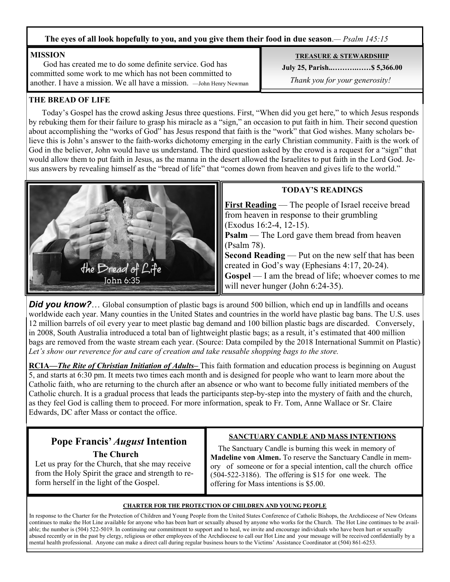#### **The eyes of all look hopefully to you, and you give them their food in due season**.*— Psalm 145:15*

#### **MISSION**

 God has created me to do some definite service. God has committed some work to me which has not been committed to another. I have a mission. We all have a mission. —John Henry Newman

#### **TREASURE & STEWARDSHIP**

**July 25, Parish..……….……\$ 5,366.00** 

 *Thank you for your generosity!* 

#### **THE BREAD OF LIFE**

 Today's Gospel has the crowd asking Jesus three questions. First, "When did you get here," to which Jesus responds by rebuking them for their failure to grasp his miracle as a "sign," an occasion to put faith in him. Their second question about accomplishing the "works of God" has Jesus respond that faith is the "work" that God wishes. Many scholars believe this is John's answer to the faith-works dichotomy emerging in the early Christian community. Faith is the work of God in the believer, John would have us understand. The third question asked by the crowd is a request for a "sign" that would allow them to put faith in Jesus, as the manna in the desert allowed the Israelites to put faith in the Lord God. Jesus answers by revealing himself as the "bread of life" that "comes down from heaven and gives life to the world."



#### **TODAY'S READINGS**

**First Reading** — The people of Israel receive bread from heaven in response to their grumbling (Exodus 16:2-4, 12-15). **Psalm** — The Lord gave them bread from heaven (Psalm 78). **Second Reading** — Put on the new self that has been created in God's way (Ephesians 4:17, 20-24). **Gospel** — I am the bread of life; whoever comes to me will never hunger (John 6:24-35).

**Did you know?**… Global consumption of plastic bags is around 500 billion, which end up in landfills and oceans worldwide each year. Many counties in the United States and countries in the world have plastic bag bans. The U.S. uses 12 million barrels of oil every year to meet plastic bag demand and 100 billion plastic bags are discarded. Conversely, in 2008, South Australia introduced a total ban of lightweight plastic bags; as a result, it's estimated that 400 million bags are removed from the waste stream each year. (Source: Data compiled by the 2018 International Summit on Plastic) *Let's show our reverence for and care of creation and take reusable shopping bags to the store.* 

**RCIA***—The Rite of Christian Initiation of Adults–* This faith formation and education process is beginning on August 5, and starts at 6:30 pm. It meets two times each month and is designed for people who want to learn more about the Catholic faith, who are returning to the church after an absence or who want to become fully initiated members of the Catholic church. It is a gradual process that leads the participants step-by-step into the mystery of faith and the church, as they feel God is calling them to proceed. For more information, speak to Fr. Tom, Anne Wallace or Sr. Claire Edwards, DC after Mass or contact the office.

# **Pope Francis'** *August* **Intention The Church**

Let us pray for the Church, that she may receive from the Holy Spirit the grace and strength to reform herself in the light of the Gospel.

#### **SANCTUARY CANDLE AND MASS INTENTIONS**

 The Sanctuary Candle is burning this week in memory of **Madeline von Almen.** To reserve the Sanctuary Candle in memory of someone or for a special intention, call the church office (504-522-3186). The offering is \$15 for one week. The offering for Mass intentions is \$5.00.

#### **CHARTER FOR THE PROTECTION OF CHILDREN AND YOUNG PEOPLE**

In response to the Charter for the Protection of Children and Young People from the United States Conference of Catholic Bishops, the Archdiocese of New Orleans continues to make the Hot Line available for anyone who has been hurt or sexually abused by anyone who works for the Church. The Hot Line continues to be available; the number is (504) 522-5019. In continuing our commitment to support and to heal, we invite and encourage individuals who have been hurt or sexually abused recently or in the past by clergy, religious or other employees of the Archdiocese to call our Hot Line and your message will be received confidentially by a mental health professional. Anyone can make a direct call during regular business hours to the Victims' Assistance Coordinator at (504) 861-6253.